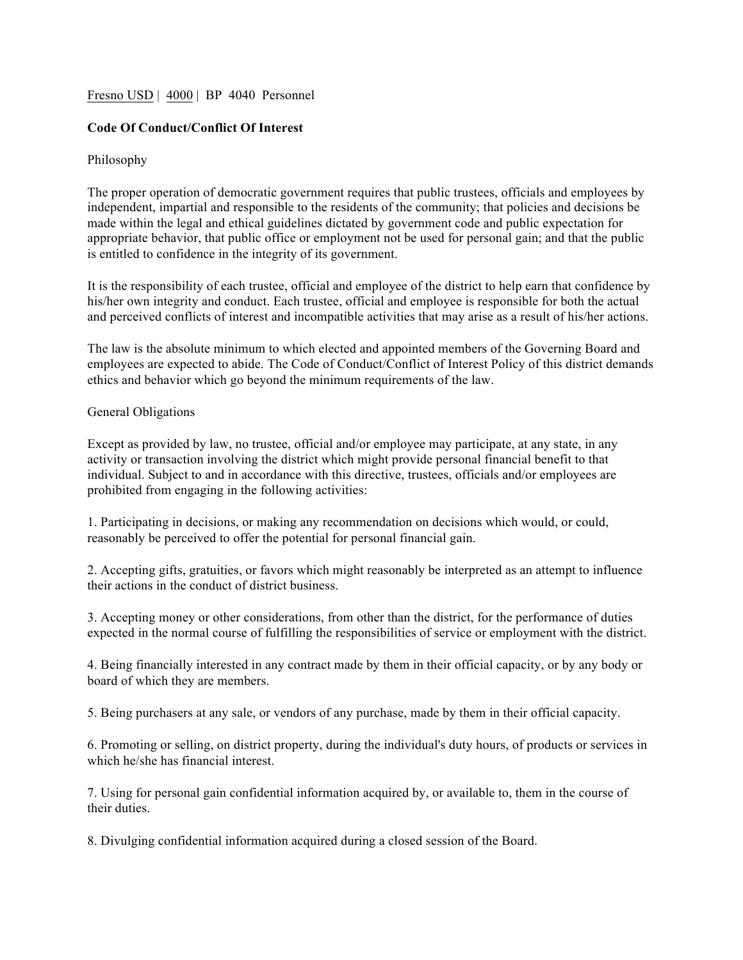## Fresn<u>o USD</u> | 4000 | BP 4040 Personnel

# **Code Of Conduct/Conflict Of Interest**

## Philosophy

The proper operation of democratic government requires that public trustees, officials and employees by independent, impartial and responsible to the residents of the community; that policies and decisions be made within the legal and ethical guidelines dictated by government code and public expectation for appropriate behavior, that public office or employment not be used for personal gain; and that the public is entitled to confidence in the integrity of its government.

It is the responsibility of each trustee, official and employee of the district to help earn that confidence by his/her own integrity and conduct. Each trustee, official and employee is responsible for both the actual and perceived conflicts of interest and incompatible activities that may arise as a result of his/her actions.

The law is the absolute minimum to which elected and appointed members of the Governing Board and employees are expected to abide. The Code of Conduct/Conflict of Interest Policy of this district demands ethics and behavior which go beyond the minimum requirements of the law.

#### General Obligations

Except as provided by law, no trustee, official and/or employee may participate, at any state, in any activity or transaction involving the district which might provide personal financial benefit to that individual. Subject to and in accordance with this directive, trustees, officials and/or employees are prohibited from engaging in the following activities:

1. Participating in decisions, or making any recommendation on decisions which would, or could, reasonably be perceived to offer the potential for personal financial gain.

2. Accepting gifts, gratuities, or favors which might reasonably be interpreted as an attempt to influence their actions in the conduct of district business.

3. Accepting money or other considerations, from other than the district, for the performance of duties expected in the normal course of fulfilling the responsibilities of service or employment with the district.

4. Being financially interested in any contract made by them in their official capacity, or by any body or board of which they are members.

5. Being purchasers at any sale, or vendors of any purchase, made by them in their official capacity.

6. Promoting or selling, on district property, during the individual's duty hours, of products or services in which he/she has financial interest.

7. Using for personal gain confidential information acquired by, or available to, them in the course of their duties.

8. Divulging confidential information acquired during a closed session of the Board.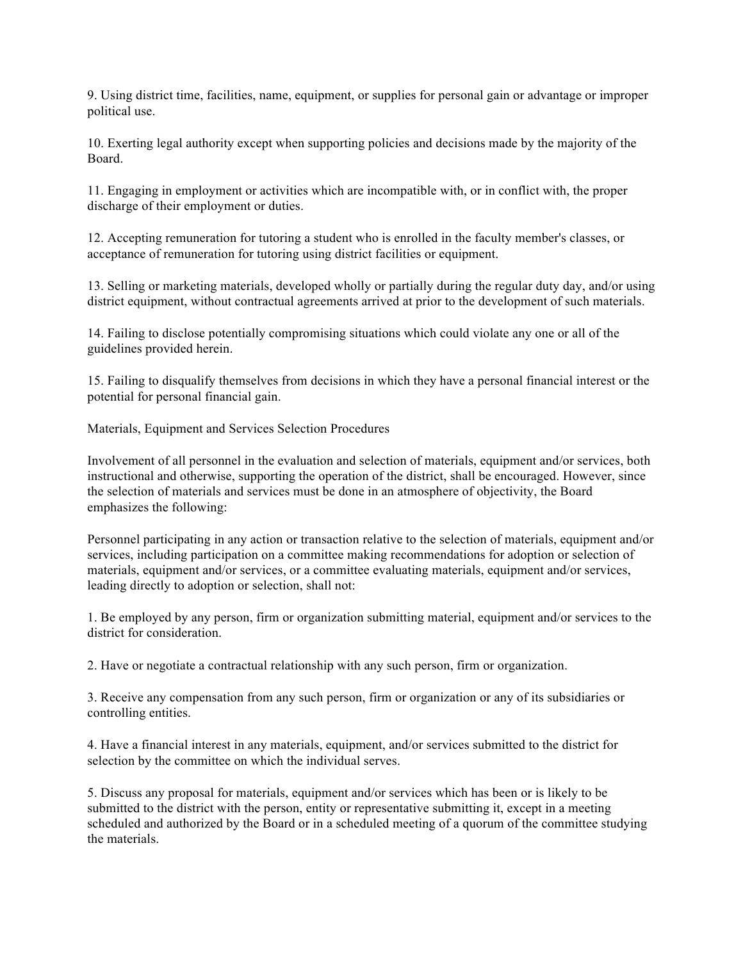9. Using district time, facilities, name, equipment, or supplies for personal gain or advantage or improper political use.

10. Exerting legal authority except when supporting policies and decisions made by the majority of the Board.

11. Engaging in employment or activities which are incompatible with, or in conflict with, the proper discharge of their employment or duties.

12. Accepting remuneration for tutoring a student who is enrolled in the faculty member's classes, or acceptance of remuneration for tutoring using district facilities or equipment.

13. Selling or marketing materials, developed wholly or partially during the regular duty day, and/or using district equipment, without contractual agreements arrived at prior to the development of such materials.

14. Failing to disclose potentially compromising situations which could violate any one or all of the guidelines provided herein.

15. Failing to disqualify themselves from decisions in which they have a personal financial interest or the potential for personal financial gain.

Materials, Equipment and Services Selection Procedures

Involvement of all personnel in the evaluation and selection of materials, equipment and/or services, both instructional and otherwise, supporting the operation of the district, shall be encouraged. However, since the selection of materials and services must be done in an atmosphere of objectivity, the Board emphasizes the following:

Personnel participating in any action or transaction relative to the selection of materials, equipment and/or services, including participation on a committee making recommendations for adoption or selection of materials, equipment and/or services, or a committee evaluating materials, equipment and/or services, leading directly to adoption or selection, shall not:

1. Be employed by any person, firm or organization submitting material, equipment and/or services to the district for consideration.

2. Have or negotiate a contractual relationship with any such person, firm or organization.

3. Receive any compensation from any such person, firm or organization or any of its subsidiaries or controlling entities.

4. Have a financial interest in any materials, equipment, and/or services submitted to the district for selection by the committee on which the individual serves.

5. Discuss any proposal for materials, equipment and/or services which has been or is likely to be submitted to the district with the person, entity or representative submitting it, except in a meeting scheduled and authorized by the Board or in a scheduled meeting of a quorum of the committee studying the materials.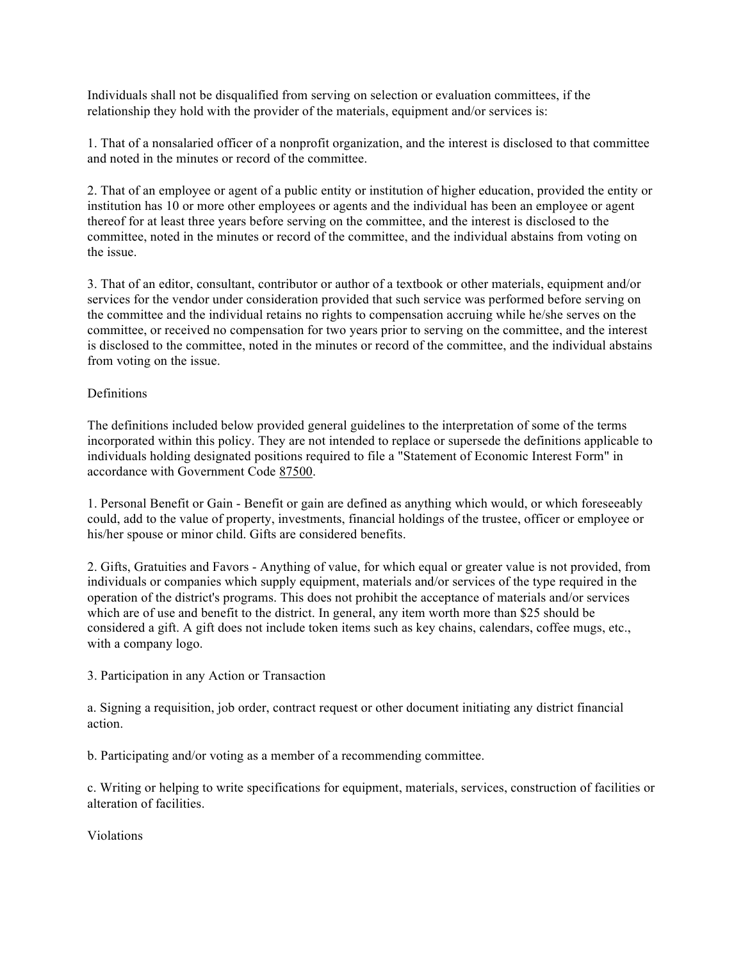Individuals shall not be disqualified from serving on selection or evaluation committees, if the relationship they hold with the provider of the materials, equipment and/or services is:

1. That of a nonsalaried officer of a nonprofit organization, and the interest is disclosed to that committee and noted in the minutes or record of the committee.

2. That of an employee or agent of a public entity or institution of higher education, provided the entity or institution has 10 or more other employees or agents and the individual has been an employee or agent thereof for at least three years before serving on the committee, and the interest is disclosed to the committee, noted in the minutes or record of the committee, and the individual abstains from voting on the issue.

3. That of an editor, consultant, contributor or author of a textbook or other materials, equipment and/or services for the vendor under consideration provided that such service was performed before serving on the committee and the individual retains no rights to compensation accruing while he/she serves on the committee, or received no compensation for two years prior to serving on the committee, and the interest is disclosed to the committee, noted in the minutes or record of the committee, and the individual abstains from voting on the issue.

# Definitions

The definitions included below provided general guidelines to the interpretation of some of the terms incorporated within this policy. They are not intended to replace or supersede the definitions applicable to individuals holding designated positions required to file a "Statement of Economic Interest Form" in accordance with Government Code 87500.

1. Personal Benefit or Gain - Benefit or gain are defined as anything which would, or which foreseeably could, add to the value of property, investments, financial holdings of the trustee, officer or employee or his/her spouse or minor child. Gifts are considered benefits.

2. Gifts, Gratuities and Favors - Anything of value, for which equal or greater value is not provided, from individuals or companies which supply equipment, materials and/or services of the type required in the operation of the district's programs. This does not prohibit the acceptance of materials and/or services which are of use and benefit to the district. In general, any item worth more than \$25 should be considered a gift. A gift does not include token items such as key chains, calendars, coffee mugs, etc., with a company logo.

3. Participation in any Action or Transaction

a. Signing a requisition, job order, contract request or other document initiating any district financial action.

b. Participating and/or voting as a member of a recommending committee.

c. Writing or helping to write specifications for equipment, materials, services, construction of facilities or alteration of facilities.

Violations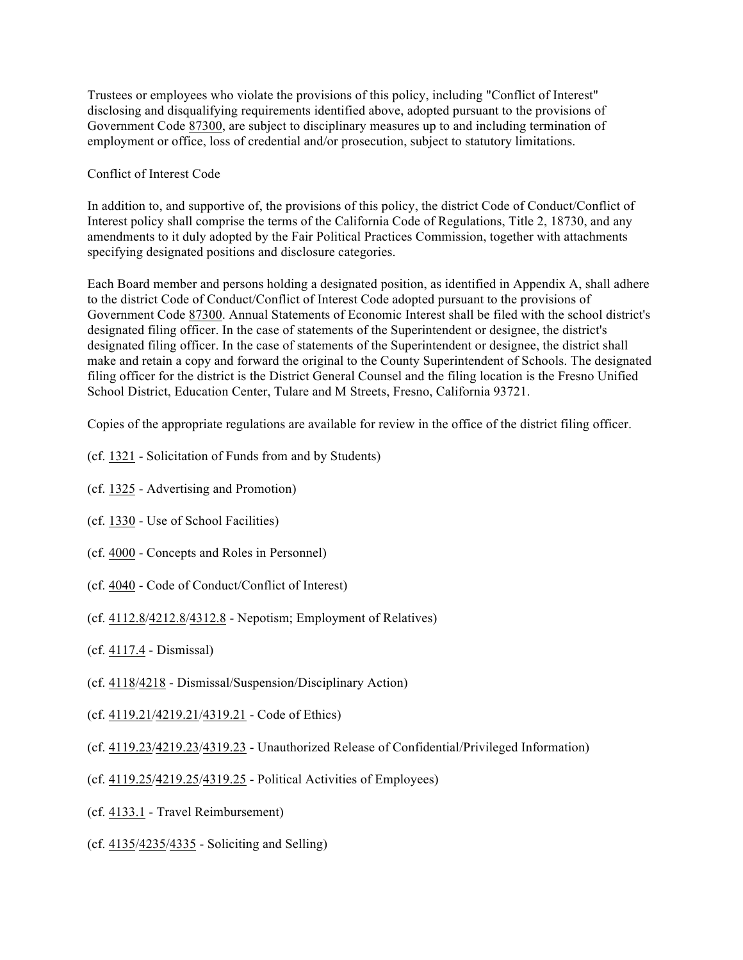Trustees or employees who violate the provisions of this policy, including "Conflict of Interest" disclosing and disqualifying requirements identified above, adopted pursuant to the provisions of Government Code 87300, are subject to disciplinary measures up to and including termination of employment or office, loss of credential and/or prosecution, subject to statutory limitations.

# Conflict of Interest Code

In addition to, and supportive of, the provisions of this policy, the district Code of Conduct/Conflict of Interest policy shall comprise the terms of the California Code of Regulations, Title 2, 18730, and any amendments to it duly adopted by the Fair Political Practices Commission, together with attachments specifying designated positions and disclosure categories.

Each Board member and persons holding a designated position, as identified in Appendix A, shall adhere to the district Code of Conduct/Conflict of Interest Code adopted pursuant to the provisions of Government Code 87300. Annual Statements of Economic Interest shall be filed with the school district's designated filing officer. In the case of statements of the Superintendent or designee, the district's designated filing officer. In the case of statements of the Superintendent or designee, the district shall make and retain a copy and forward the original to the County Superintendent of Schools. The designated filing officer for the district is the District General Counsel and the filing location is the Fresno Unified School District, Education Center, Tulare and M Streets, Fresno, California 93721.

Copies of the appropriate regulations are available for review in the office of the district filing officer.

- (cf. 1321 Solicitation of Funds from and by Students)
- (cf. 1325 Advertising and Promotion)
- (cf. 1330 Use of School Facilities)
- (cf. 4000 Concepts and Roles in Personnel)
- (cf. 4040 Code of Conduct/Conflict of Interest)
- (cf. 4112.8/4212.8/4312.8 Nepotism; Employment of Relatives)
- (cf. 4117.4 Dismissal)
- (cf. 4118/4218 Dismissal/Suspension/Disciplinary Action)
- (cf. 4119.21/4219.21/4319.21 Code of Ethics)
- (cf. 4119.23/4219.23/4319.23 Unauthorized Release of Confidential/Privileged Information)
- (cf. 4119.25/4219.25/4319.25 Political Activities of Employees)
- (cf. 4133.1 Travel Reimbursement)
- (cf. 4135/4235/4335 Soliciting and Selling)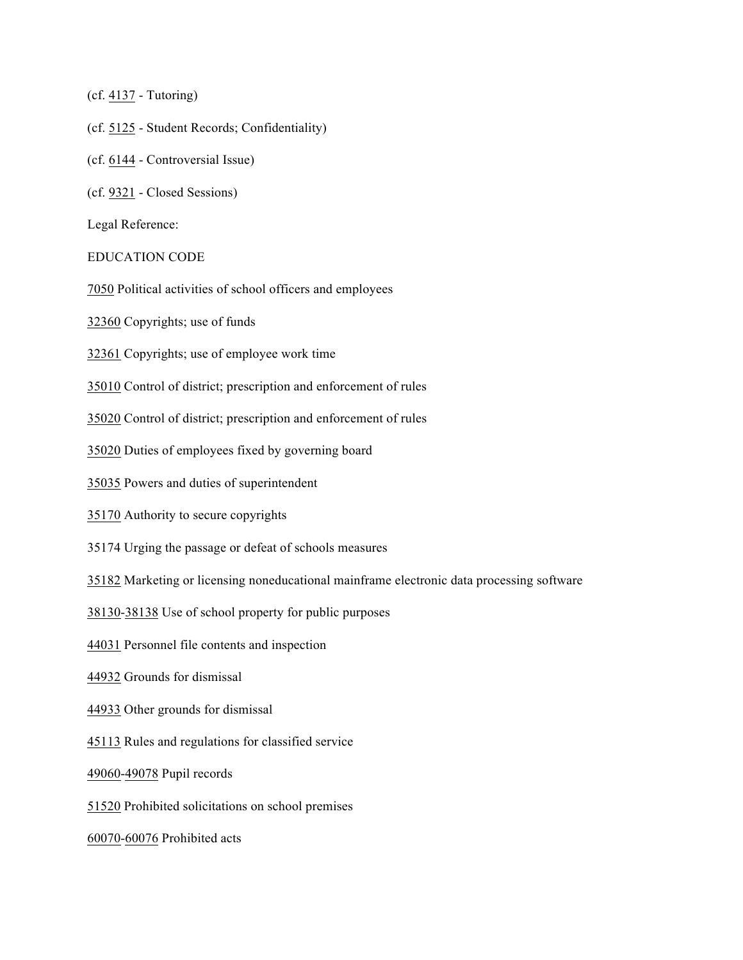(cf. 4137 - Tutoring)

- (cf. 5125 Student Records; Confidentiality)
- (cf. 6144 Controversial Issue)
- (cf. 9321 Closed Sessions)

Legal Reference:

#### EDUCATION CODE

7050 Political activities of school officers and employees

32360 Copyrights; use of funds

32361 Copyrights; use of employee work time

35010 Control of district; prescription and enforcement of rules

35020 Control of district; prescription and enforcement of rules

35020 Duties of employees fixed by governing board

35035 Powers and duties of superintendent

35170 Authority to secure copyrights

35174 Urging the passage or defeat of schools measures

35182 Marketing or licensing noneducational mainframe electronic data processing software

38130-38138 Use of school property for public purposes

44031 Personnel file contents and inspection

44932 Grounds for dismissal

44933 Other grounds for dismissal

45113 Rules and regulations for classified service

49060-49078 Pupil records

51520 Prohibited solicitations on school premises

60070-60076 Prohibited acts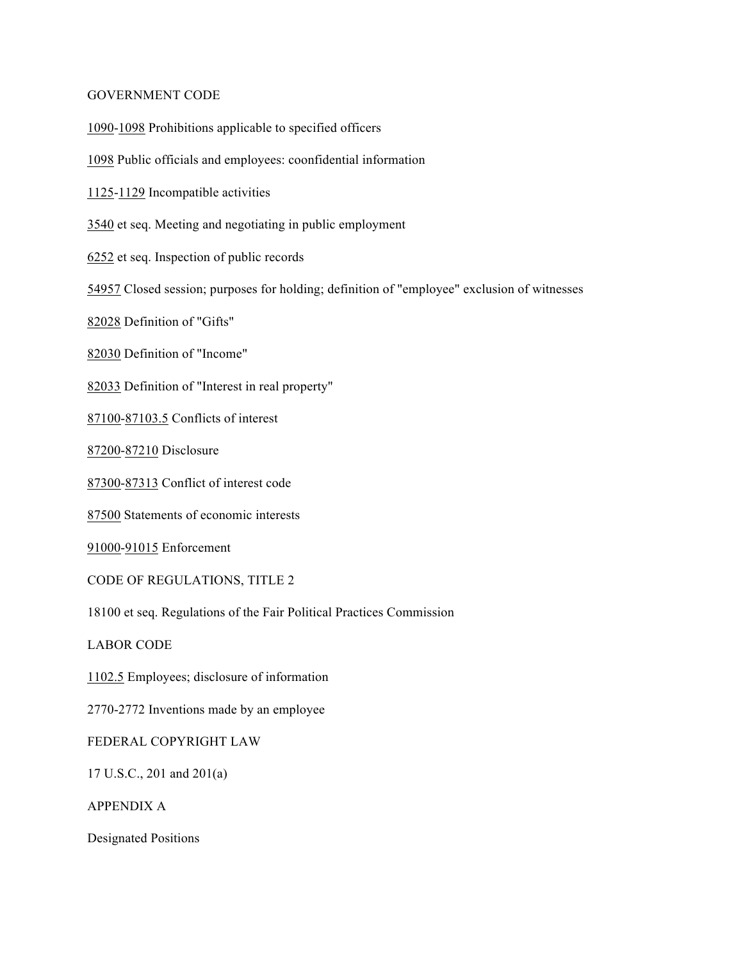#### GOVERNMENT CODE

1090-1098 Prohibitions applicable to specified officers

1098 Public officials and employees: coonfidential information

1125-1129 Incompatible activities

3540 et seq. Meeting and negotiating in public employment

6252 et seq. Inspection of public records

54957 Closed session; purposes for holding; definition of "employee" exclusion of witnesses

82028 Definition of "Gifts"

82030 Definition of "Income"

82033 Definition of "Interest in real property"

87100-87103.5 Conflicts of interest

87200-87210 Disclosure

87300-87313 Conflict of interest code

87500 Statements of economic interests

91000-91015 Enforcement

CODE OF REGULATIONS, TITLE 2

18100 et seq. Regulations of the Fair Political Practices Commission

LABOR CODE

1102.5 Employees; disclosure of information

2770-2772 Inventions made by an employee

FEDERAL COPYRIGHT LAW

17 U.S.C., 201 and 201(a)

APPENDIX A

Designated Positions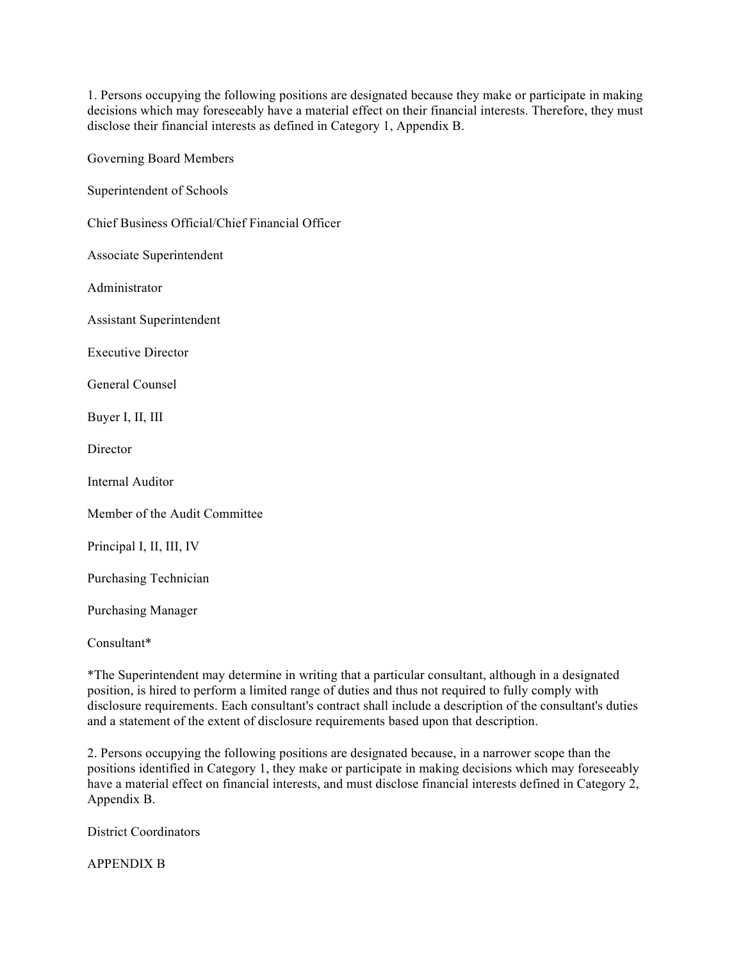1. Persons occupying the following positions are designated because they make or participate in making decisions which may foreseeably have a material effect on their financial interests. Therefore, they must disclose their financial interests as defined in Category 1, Appendix B.

Governing Board Members

Superintendent of Schools

Chief Business Official/Chief Financial Officer

Associate Superintendent

Administrator

Assistant Superintendent

Executive Director

General Counsel

Buyer I, II, III

**Director** 

Internal Auditor

Member of the Audit Committee

Principal I, II, III, IV

Purchasing Technician

Purchasing Manager

Consultant\*

\*The Superintendent may determine in writing that a particular consultant, although in a designated position, is hired to perform a limited range of duties and thus not required to fully comply with disclosure requirements. Each consultant's contract shall include a description of the consultant's duties and a statement of the extent of disclosure requirements based upon that description.

2. Persons occupying the following positions are designated because, in a narrower scope than the positions identified in Category 1, they make or participate in making decisions which may foreseeably have a material effect on financial interests, and must disclose financial interests defined in Category 2, Appendix B.

District Coordinators

APPENDIX B